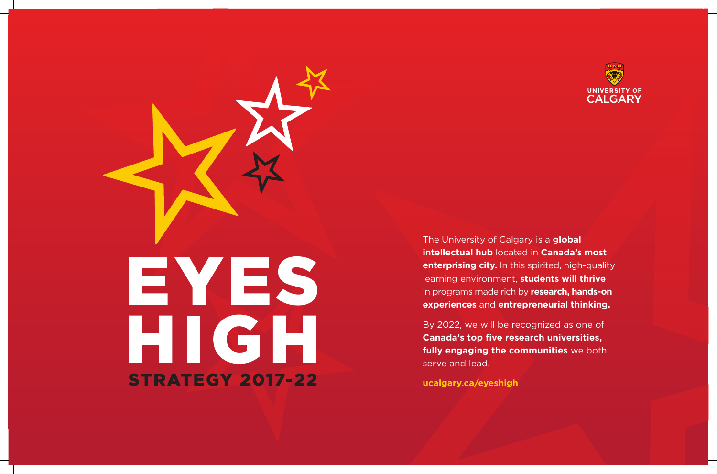

The University of Calgary is a **global intellectual hub** located in **Canada's most enterprising city.** In this spirited, high-quality learning environment, **students will thrive** in programs made rich by **research, hands-on experiences** and **entrepreneurial thinking.**

By 2022, we will be recognized as one of **Canada's top five research universities, fully engaging the communities** we both serve and lead.

**ucalgary.ca/eyeshigh**